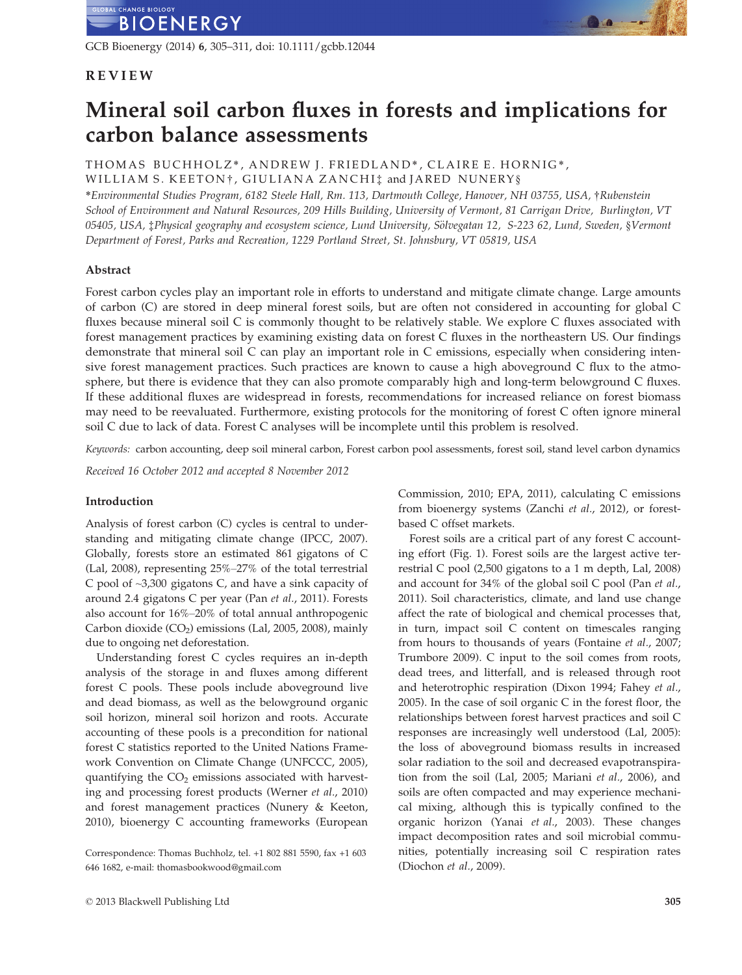GCB Bioenergy (2014) 6, 305–311, doi: 10.1111/gcbb.12044

## REVIEW

# Mineral soil carbon fluxes in forests and implications for carbon balance assessments

THOMAS BUCHHOLZ\*, ANDREW J. FRIEDLAND\*, CLAIRE E. HORNIG\*, WILLIAM S. KEETON†, GIULIANA ZANCHI: and JARED NUNERY§

\*Environmental Studies Program, 6182 Steele Hall, Rm. 113, Dartmouth College, Hanover, NH 03755, USA, †Rubenstein School of Environment and Natural Resources, 209 Hills Building, University of Vermont, 81 Carrigan Drive, Burlington, VT 05405, USA, *‡Physical geography and ecosystem science*, Lund University, Sölvegatan 12, S-223 62, Lund, Sweden, §Vermont Department of Forest, Parks and Recreation, 1229 Portland Street, St. Johnsbury, VT 05819, USA

### Abstract

Forest carbon cycles play an important role in efforts to understand and mitigate climate change. Large amounts of carbon (C) are stored in deep mineral forest soils, but are often not considered in accounting for global C fluxes because mineral soil C is commonly thought to be relatively stable. We explore C fluxes associated with forest management practices by examining existing data on forest C fluxes in the northeastern US. Our findings demonstrate that mineral soil C can play an important role in C emissions, especially when considering intensive forest management practices. Such practices are known to cause a high aboveground C flux to the atmosphere, but there is evidence that they can also promote comparably high and long-term belowground C fluxes. If these additional fluxes are widespread in forests, recommendations for increased reliance on forest biomass may need to be reevaluated. Furthermore, existing protocols for the monitoring of forest C often ignore mineral soil C due to lack of data. Forest C analyses will be incomplete until this problem is resolved.

Keywords: carbon accounting, deep soil mineral carbon, Forest carbon pool assessments, forest soil, stand level carbon dynamics

Received 16 October 2012 and accepted 8 November 2012

## Introduction

Analysis of forest carbon (C) cycles is central to understanding and mitigating climate change (IPCC, 2007). Globally, forests store an estimated 861 gigatons of C (Lal, 2008), representing 25%–27% of the total terrestrial C pool of ~3,300 gigatons C, and have a sink capacity of around 2.4 gigatons C per year (Pan et al., 2011). Forests also account for 16%–20% of total annual anthropogenic Carbon dioxide  $(CO_2)$  emissions (Lal, 2005, 2008), mainly due to ongoing net deforestation.

Understanding forest C cycles requires an in-depth analysis of the storage in and fluxes among different forest C pools. These pools include aboveground live and dead biomass, as well as the belowground organic soil horizon, mineral soil horizon and roots. Accurate accounting of these pools is a precondition for national forest C statistics reported to the United Nations Framework Convention on Climate Change (UNFCCC, 2005), quantifying the  $CO<sub>2</sub>$  emissions associated with harvesting and processing forest products (Werner et al., 2010) and forest management practices (Nunery & Keeton, 2010), bioenergy C accounting frameworks (European Commission, 2010; EPA, 2011), calculating C emissions from bioenergy systems (Zanchi et al., 2012), or forestbased C offset markets.

Forest soils are a critical part of any forest C accounting effort (Fig. 1). Forest soils are the largest active terrestrial C pool (2,500 gigatons to a 1 m depth, Lal, 2008) and account for 34% of the global soil C pool (Pan et al., 2011). Soil characteristics, climate, and land use change affect the rate of biological and chemical processes that, in turn, impact soil C content on timescales ranging from hours to thousands of years (Fontaine et al., 2007; Trumbore 2009). C input to the soil comes from roots, dead trees, and litterfall, and is released through root and heterotrophic respiration (Dixon 1994; Fahey et al., 2005). In the case of soil organic C in the forest floor, the relationships between forest harvest practices and soil C responses are increasingly well understood (Lal, 2005): the loss of aboveground biomass results in increased solar radiation to the soil and decreased evapotranspiration from the soil (Lal, 2005; Mariani et al., 2006), and soils are often compacted and may experience mechanical mixing, although this is typically confined to the organic horizon (Yanai et al., 2003). These changes impact decomposition rates and soil microbial communities, potentially increasing soil C respiration rates (Diochon et al., 2009).

Correspondence: Thomas Buchholz, tel. +1 802 881 5590, fax +1 603 646 1682, e-mail: thomasbookwood@gmail.com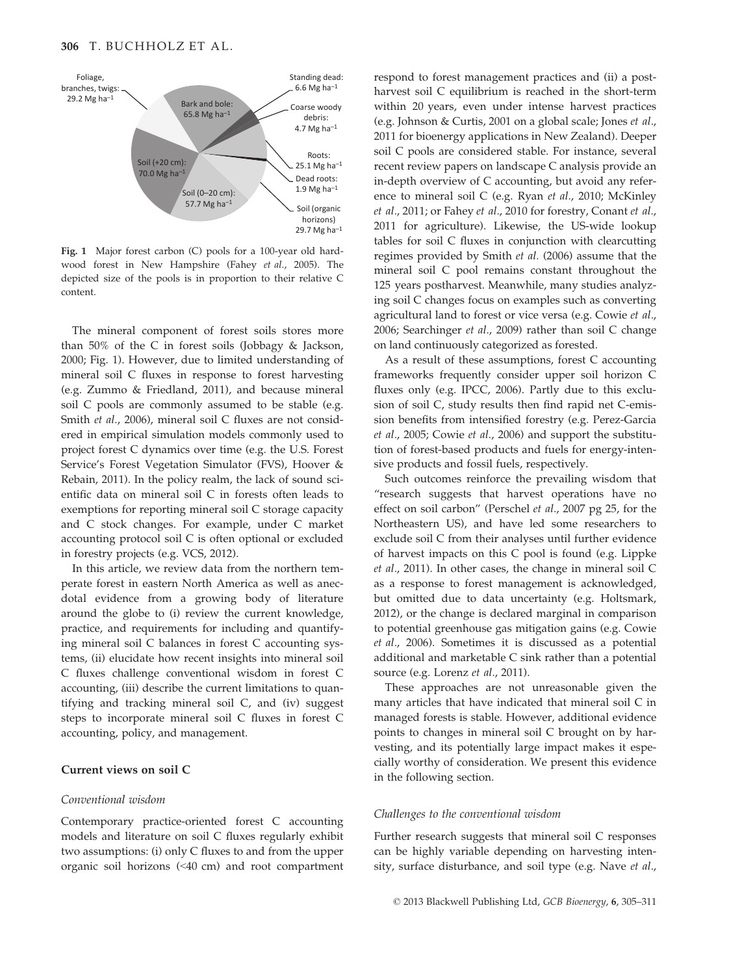

Fig. 1 Major forest carbon (C) pools for a 100-year old hardwood forest in New Hampshire (Fahey et al., 2005). The depicted size of the pools is in proportion to their relative C content.

The mineral component of forest soils stores more than 50% of the C in forest soils (Jobbagy & Jackson, 2000; Fig. 1). However, due to limited understanding of mineral soil C fluxes in response to forest harvesting (e.g. Zummo & Friedland, 2011), and because mineral soil C pools are commonly assumed to be stable (e.g. Smith et al., 2006), mineral soil C fluxes are not considered in empirical simulation models commonly used to project forest C dynamics over time (e.g. the U.S. Forest Service's Forest Vegetation Simulator (FVS), Hoover & Rebain, 2011). In the policy realm, the lack of sound scientific data on mineral soil C in forests often leads to exemptions for reporting mineral soil C storage capacity and C stock changes. For example, under C market accounting protocol soil C is often optional or excluded in forestry projects (e.g. VCS, 2012).

In this article, we review data from the northern temperate forest in eastern North America as well as anecdotal evidence from a growing body of literature around the globe to (i) review the current knowledge, practice, and requirements for including and quantifying mineral soil C balances in forest C accounting systems, (ii) elucidate how recent insights into mineral soil C fluxes challenge conventional wisdom in forest C accounting, (iii) describe the current limitations to quantifying and tracking mineral soil C, and (iv) suggest steps to incorporate mineral soil C fluxes in forest C accounting, policy, and management.

#### Current views on soil C

#### Conventional wisdom

Contemporary practice-oriented forest C accounting models and literature on soil C fluxes regularly exhibit two assumptions: (i) only C fluxes to and from the upper organic soil horizons (<40 cm) and root compartment respond to forest management practices and (ii) a postharvest soil C equilibrium is reached in the short-term within 20 years, even under intense harvest practices (e.g. Johnson & Curtis, 2001 on a global scale; Jones et al., 2011 for bioenergy applications in New Zealand). Deeper soil C pools are considered stable. For instance, several recent review papers on landscape C analysis provide an in-depth overview of C accounting, but avoid any reference to mineral soil C (e.g. Ryan et al., 2010; McKinley et al., 2011; or Fahey et al., 2010 for forestry, Conant et al., 2011 for agriculture). Likewise, the US-wide lookup tables for soil C fluxes in conjunction with clearcutting regimes provided by Smith et al. (2006) assume that the mineral soil C pool remains constant throughout the 125 years postharvest. Meanwhile, many studies analyzing soil C changes focus on examples such as converting agricultural land to forest or vice versa (e.g. Cowie et al., 2006; Searchinger et al., 2009) rather than soil C change on land continuously categorized as forested.

As a result of these assumptions, forest C accounting frameworks frequently consider upper soil horizon C fluxes only (e.g. IPCC, 2006). Partly due to this exclusion of soil C, study results then find rapid net C-emission benefits from intensified forestry (e.g. Perez-Garcia et al., 2005; Cowie et al., 2006) and support the substitution of forest-based products and fuels for energy-intensive products and fossil fuels, respectively.

Such outcomes reinforce the prevailing wisdom that "research suggests that harvest operations have no effect on soil carbon" (Perschel et al., 2007 pg 25, for the Northeastern US), and have led some researchers to exclude soil C from their analyses until further evidence of harvest impacts on this C pool is found (e.g. Lippke et al., 2011). In other cases, the change in mineral soil C as a response to forest management is acknowledged, but omitted due to data uncertainty (e.g. Holtsmark, 2012), or the change is declared marginal in comparison to potential greenhouse gas mitigation gains (e.g. Cowie et al., 2006). Sometimes it is discussed as a potential additional and marketable C sink rather than a potential source (e.g. Lorenz et al., 2011).

These approaches are not unreasonable given the many articles that have indicated that mineral soil C in managed forests is stable. However, additional evidence points to changes in mineral soil C brought on by harvesting, and its potentially large impact makes it especially worthy of consideration. We present this evidence in the following section.

#### Challenges to the conventional wisdom

Further research suggests that mineral soil C responses can be highly variable depending on harvesting intensity, surface disturbance, and soil type (e.g. Nave et al.,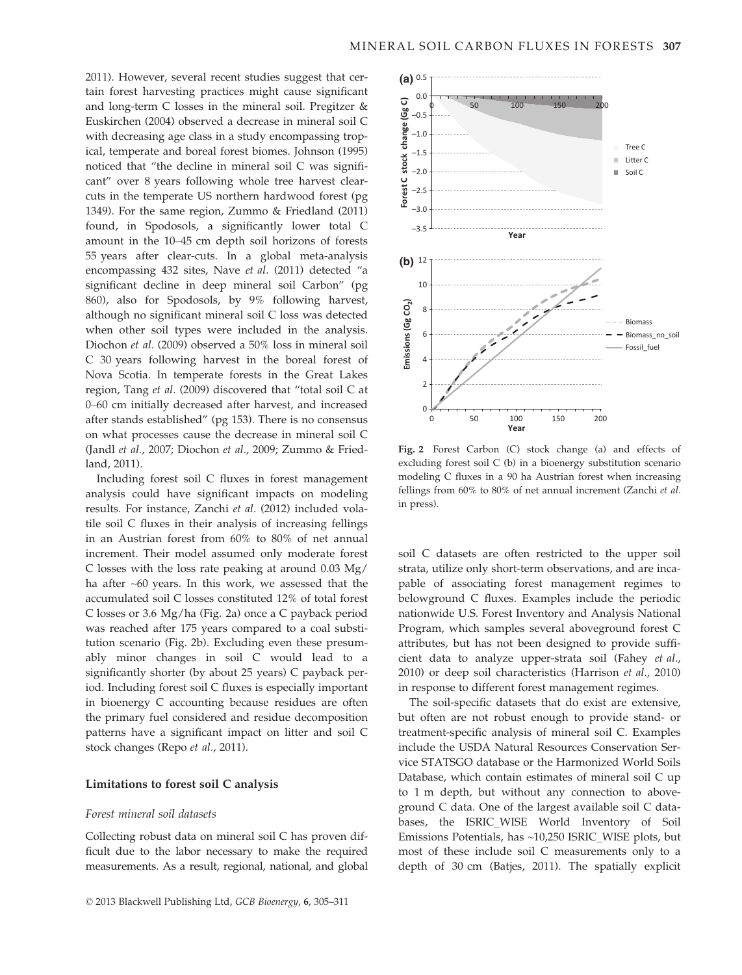2011). However, several recent studies suggest that certain forest harvesting practices might cause significant and long-term C losses in the mineral soil. Pregitzer & Euskirchen (2004) observed a decrease in mineral soil C with decreasing age class in a study encompassing tropical, temperate and boreal forest biomes. Johnson (1995) noticed that "the decline in mineral soil C was significant" over 8 years following whole tree harvest clearcuts in the temperate US northern hardwood forest (pg 1349). For the same region, Zummo & Friedland (2011) found, in Spodosols, a significantly lower total C amount in the 10–45 cm depth soil horizons of forests 55 years after clear-cuts. In a global meta-analysis encompassing 432 sites, Nave et al. (2011) detected "a significant decline in deep mineral soil Carbon" (pg 860), also for Spodosols, by 9% following harvest, although no significant mineral soil C loss was detected when other soil types were included in the analysis. Diochon et al. (2009) observed a 50% loss in mineral soil C 30 years following harvest in the boreal forest of Nova Scotia. In temperate forests in the Great Lakes region, Tang et al. (2009) discovered that "total soil C at 0–60 cm initially decreased after harvest, and increased after stands established" (pg 153). There is no consensus on what processes cause the decrease in mineral soil C (Jandl et al., 2007; Diochon et al., 2009; Zummo & Friedland, 2011).

Including forest soil C fluxes in forest management analysis could have significant impacts on modeling results. For instance, Zanchi et al. (2012) included volatile soil C fluxes in their analysis of increasing fellings in an Austrian forest from 60% to 80% of net annual increment. Their model assumed only moderate forest C losses with the loss rate peaking at around 0.03 Mg/ ha after ~60 years. In this work, we assessed that the accumulated soil C losses constituted 12% of total forest C losses or 3.6 Mg/ha (Fig. 2a) once a C payback period was reached after 175 years compared to a coal substitution scenario (Fig. 2b). Excluding even these presumably minor changes in soil C would lead to a significantly shorter (by about 25 years) C payback period. Including forest soil C fluxes is especially important in bioenergy C accounting because residues are often the primary fuel considered and residue decomposition patterns have a significant impact on litter and soil C stock changes (Repo et al., 2011).

#### Limitations to forest soil C analysis

#### Forest mineral soil datasets

Collecting robust data on mineral soil C has proven difficult due to the labor necessary to make the required measurements. As a result, regional, national, and global



Fig. 2 Forest Carbon (C) stock change (a) and effects of excluding forest soil C (b) in a bioenergy substitution scenario modeling C fluxes in a 90 ha Austrian forest when increasing fellings from 60% to 80% of net annual increment (Zanchi et al. in press).

soil C datasets are often restricted to the upper soil strata, utilize only short-term observations, and are incapable of associating forest management regimes to belowground C fluxes. Examples include the periodic nationwide U.S. Forest Inventory and Analysis National Program, which samples several aboveground forest C attributes, but has not been designed to provide sufficient data to analyze upper-strata soil (Fahey et al., 2010) or deep soil characteristics (Harrison et al., 2010) in response to different forest management regimes.

The soil-specific datasets that do exist are extensive, but often are not robust enough to provide stand- or treatment-specific analysis of mineral soil C. Examples include the USDA Natural Resources Conservation Service STATSGO database or the Harmonized World Soils Database, which contain estimates of mineral soil C up to 1 m depth, but without any connection to aboveground C data. One of the largest available soil C databases, the ISRIC\_WISE World Inventory of Soil Emissions Potentials, has ~10,250 ISRIC\_WISE plots, but most of these include soil C measurements only to a depth of 30 cm (Batjes, 2011). The spatially explicit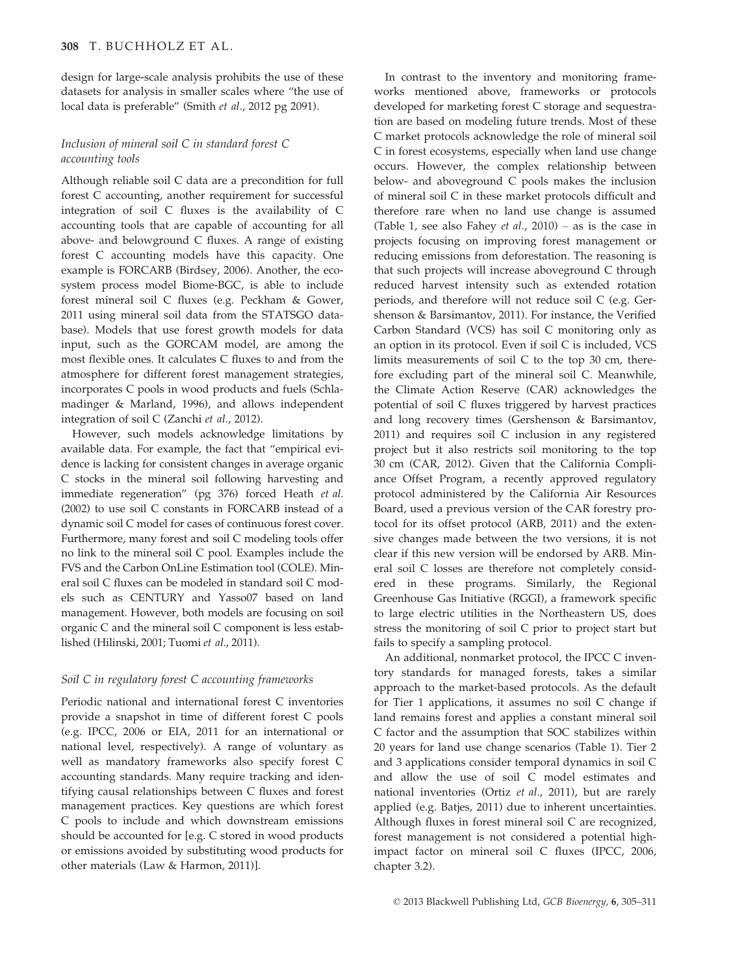design for large-scale analysis prohibits the use of these datasets for analysis in smaller scales where "the use of local data is preferable" (Smith et al., 2012 pg 2091).

## Inclusion of mineral soil C in standard forest C accounting tools

Although reliable soil C data are a precondition for full forest C accounting, another requirement for successful integration of soil C fluxes is the availability of C accounting tools that are capable of accounting for all above- and belowground C fluxes. A range of existing forest C accounting models have this capacity. One example is FORCARB (Birdsey, 2006). Another, the ecosystem process model Biome-BGC, is able to include forest mineral soil C fluxes (e.g. Peckham & Gower, 2011 using mineral soil data from the STATSGO database). Models that use forest growth models for data input, such as the GORCAM model, are among the most flexible ones. It calculates C fluxes to and from the atmosphere for different forest management strategies, incorporates C pools in wood products and fuels (Schlamadinger & Marland, 1996), and allows independent integration of soil C (Zanchi et al., 2012).

However, such models acknowledge limitations by available data. For example, the fact that "empirical evidence is lacking for consistent changes in average organic C stocks in the mineral soil following harvesting and immediate regeneration" (pg 376) forced Heath et al. (2002) to use soil C constants in FORCARB instead of a dynamic soil C model for cases of continuous forest cover. Furthermore, many forest and soil C modeling tools offer no link to the mineral soil C pool. Examples include the FVS and the Carbon OnLine Estimation tool (COLE). Mineral soil C fluxes can be modeled in standard soil C models such as CENTURY and Yasso07 based on land management. However, both models are focusing on soil organic C and the mineral soil C component is less established (Hilinski, 2001; Tuomi et al., 2011).

# Soil C in regulatory forest C accounting frameworks

Periodic national and international forest C inventories provide a snapshot in time of different forest C pools (e.g. IPCC, 2006 or EIA, 2011 for an international or national level, respectively). A range of voluntary as well as mandatory frameworks also specify forest C accounting standards. Many require tracking and identifying causal relationships between C fluxes and forest management practices. Key questions are which forest C pools to include and which downstream emissions should be accounted for [e.g. C stored in wood products or emissions avoided by substituting wood products for other materials (Law & Harmon, 2011)].

In contrast to the inventory and monitoring frameworks mentioned above, frameworks or protocols developed for marketing forest C storage and sequestration are based on modeling future trends. Most of these C market protocols acknowledge the role of mineral soil C in forest ecosystems, especially when land use change occurs. However, the complex relationship between below- and aboveground C pools makes the inclusion of mineral soil C in these market protocols difficult and therefore rare when no land use change is assumed (Table 1, see also Fahey *et al.*,  $2010$ ) – as is the case in projects focusing on improving forest management or reducing emissions from deforestation. The reasoning is that such projects will increase aboveground C through reduced harvest intensity such as extended rotation periods, and therefore will not reduce soil C (e.g. Gershenson & Barsimantov, 2011). For instance, the Verified Carbon Standard (VCS) has soil C monitoring only as an option in its protocol. Even if soil C is included, VCS limits measurements of soil C to the top 30 cm, therefore excluding part of the mineral soil C. Meanwhile, the Climate Action Reserve (CAR) acknowledges the potential of soil C fluxes triggered by harvest practices and long recovery times (Gershenson & Barsimantov, 2011) and requires soil C inclusion in any registered project but it also restricts soil monitoring to the top 30 cm (CAR, 2012). Given that the California Compliance Offset Program, a recently approved regulatory protocol administered by the California Air Resources Board, used a previous version of the CAR forestry protocol for its offset protocol (ARB, 2011) and the extensive changes made between the two versions, it is not clear if this new version will be endorsed by ARB. Mineral soil C losses are therefore not completely considered in these programs. Similarly, the Regional Greenhouse Gas Initiative (RGGI), a framework specific to large electric utilities in the Northeastern US, does stress the monitoring of soil C prior to project start but fails to specify a sampling protocol.

An additional, nonmarket protocol, the IPCC C inventory standards for managed forests, takes a similar approach to the market-based protocols. As the default for Tier 1 applications, it assumes no soil C change if land remains forest and applies a constant mineral soil C factor and the assumption that SOC stabilizes within 20 years for land use change scenarios (Table 1). Tier 2 and 3 applications consider temporal dynamics in soil C and allow the use of soil C model estimates and national inventories (Ortiz et al., 2011), but are rarely applied (e.g. Batjes, 2011) due to inherent uncertainties. Although fluxes in forest mineral soil C are recognized, forest management is not considered a potential highimpact factor on mineral soil C fluxes (IPCC, 2006, chapter 3.2).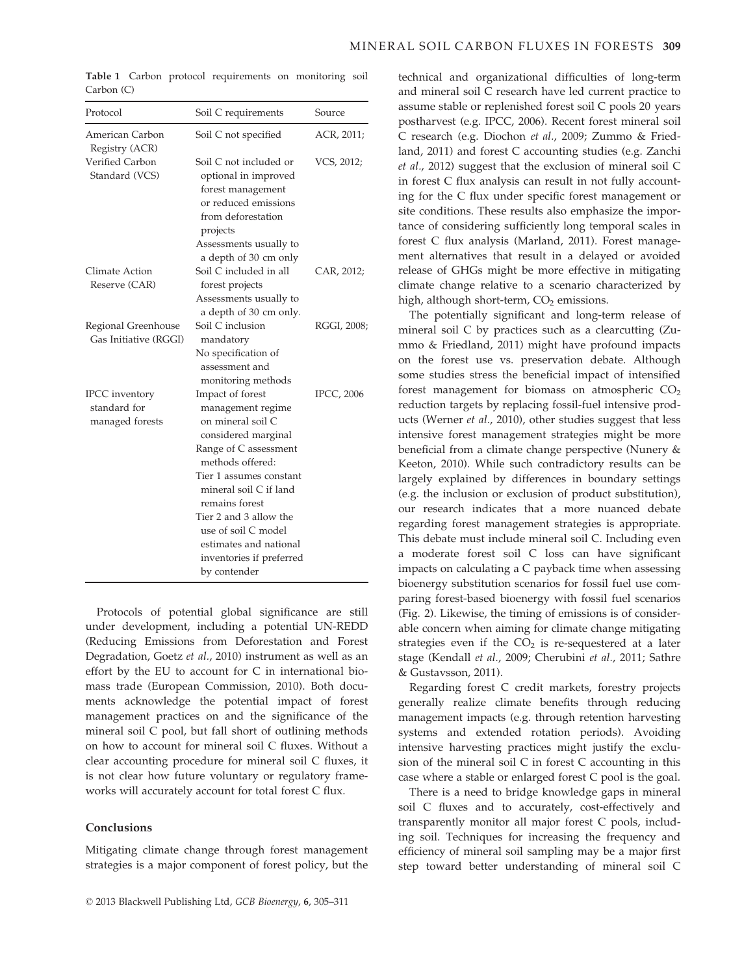| Protocol                                                 | Soil C requirements                                                                                                                                                                                                                                                                                                          | Source            |
|----------------------------------------------------------|------------------------------------------------------------------------------------------------------------------------------------------------------------------------------------------------------------------------------------------------------------------------------------------------------------------------------|-------------------|
| American Carbon<br>Registry (ACR)                        | Soil C not specified                                                                                                                                                                                                                                                                                                         | ACR, 2011;        |
| Verified Carbon<br>Standard (VCS)                        | Soil C not included or<br>optional in improved<br>forest management<br>or reduced emissions<br>from deforestation<br>projects<br>Assessments usually to                                                                                                                                                                      | VCS, 2012;        |
|                                                          | a depth of 30 cm only                                                                                                                                                                                                                                                                                                        |                   |
| Climate Action<br>Reserve (CAR)                          | Soil C included in all<br>forest projects<br>Assessments usually to<br>a depth of 30 cm only.                                                                                                                                                                                                                                | CAR, 2012;        |
| Regional Greenhouse<br>Gas Initiative (RGGI)             | Soil C inclusion<br>mandatory<br>No specification of<br>assessment and<br>monitoring methods                                                                                                                                                                                                                                 | RGGI, 2008;       |
| <b>IPCC</b> inventory<br>standard for<br>managed forests | Impact of forest<br>management regime<br>on mineral soil C<br>considered marginal<br>Range of C assessment<br>methods offered:<br>Tier 1 assumes constant<br>mineral soil C if land<br>remains forest<br>Tier 2 and 3 allow the<br>use of soil C model<br>estimates and national<br>inventories if preferred<br>by contender | <b>IPCC, 2006</b> |

Table 1 Carbon protocol requirements on monitoring soil Carbon (C)

Protocols of potential global significance are still under development, including a potential UN-REDD (Reducing Emissions from Deforestation and Forest Degradation, Goetz et al., 2010) instrument as well as an effort by the EU to account for C in international biomass trade (European Commission, 2010). Both documents acknowledge the potential impact of forest management practices on and the significance of the mineral soil C pool, but fall short of outlining methods on how to account for mineral soil C fluxes. Without a clear accounting procedure for mineral soil C fluxes, it is not clear how future voluntary or regulatory frameworks will accurately account for total forest C flux.

#### Conclusions

Mitigating climate change through forest management strategies is a major component of forest policy, but the technical and organizational difficulties of long-term and mineral soil C research have led current practice to assume stable or replenished forest soil C pools 20 years postharvest (e.g. IPCC, 2006). Recent forest mineral soil C research (e.g. Diochon et al., 2009; Zummo & Friedland, 2011) and forest C accounting studies (e.g. Zanchi et al., 2012) suggest that the exclusion of mineral soil C in forest C flux analysis can result in not fully accounting for the C flux under specific forest management or site conditions. These results also emphasize the importance of considering sufficiently long temporal scales in forest C flux analysis (Marland, 2011). Forest management alternatives that result in a delayed or avoided release of GHGs might be more effective in mitigating climate change relative to a scenario characterized by high, although short-term,  $CO<sub>2</sub>$  emissions.

The potentially significant and long-term release of mineral soil C by practices such as a clearcutting (Zummo & Friedland, 2011) might have profound impacts on the forest use vs. preservation debate. Although some studies stress the beneficial impact of intensified forest management for biomass on atmospheric  $CO<sub>2</sub>$ reduction targets by replacing fossil-fuel intensive products (Werner et al., 2010), other studies suggest that less intensive forest management strategies might be more beneficial from a climate change perspective (Nunery & Keeton, 2010). While such contradictory results can be largely explained by differences in boundary settings (e.g. the inclusion or exclusion of product substitution), our research indicates that a more nuanced debate regarding forest management strategies is appropriate. This debate must include mineral soil C. Including even a moderate forest soil C loss can have significant impacts on calculating a C payback time when assessing bioenergy substitution scenarios for fossil fuel use comparing forest-based bioenergy with fossil fuel scenarios (Fig. 2). Likewise, the timing of emissions is of considerable concern when aiming for climate change mitigating strategies even if the  $CO<sub>2</sub>$  is re-sequestered at a later stage (Kendall et al., 2009; Cherubini et al., 2011; Sathre & Gustavsson, 2011).

Regarding forest C credit markets, forestry projects generally realize climate benefits through reducing management impacts (e.g. through retention harvesting systems and extended rotation periods). Avoiding intensive harvesting practices might justify the exclusion of the mineral soil C in forest C accounting in this case where a stable or enlarged forest C pool is the goal.

There is a need to bridge knowledge gaps in mineral soil C fluxes and to accurately, cost-effectively and transparently monitor all major forest C pools, including soil. Techniques for increasing the frequency and efficiency of mineral soil sampling may be a major first step toward better understanding of mineral soil C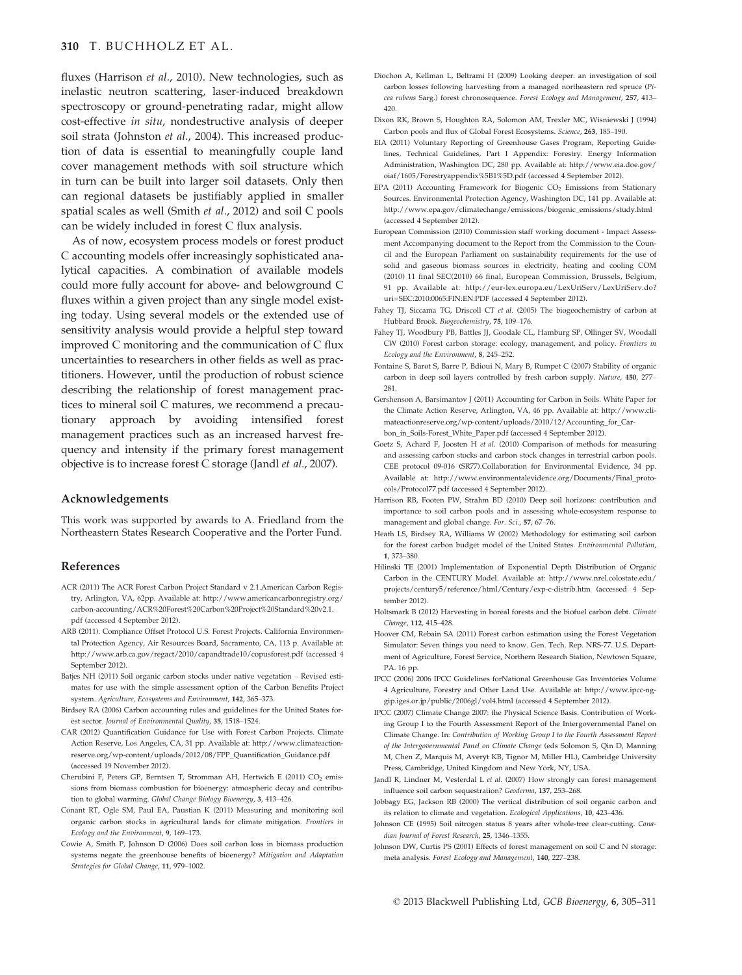fluxes (Harrison et al., 2010). New technologies, such as inelastic neutron scattering, laser-induced breakdown spectroscopy or ground-penetrating radar, might allow cost-effective in situ, nondestructive analysis of deeper soil strata (Johnston et al., 2004). This increased production of data is essential to meaningfully couple land cover management methods with soil structure which in turn can be built into larger soil datasets. Only then can regional datasets be justifiably applied in smaller spatial scales as well (Smith et al., 2012) and soil C pools can be widely included in forest C flux analysis.

As of now, ecosystem process models or forest product C accounting models offer increasingly sophisticated analytical capacities. A combination of available models could more fully account for above- and belowground C fluxes within a given project than any single model existing today. Using several models or the extended use of sensitivity analysis would provide a helpful step toward improved C monitoring and the communication of C flux uncertainties to researchers in other fields as well as practitioners. However, until the production of robust science describing the relationship of forest management practices to mineral soil C matures, we recommend a precautionary approach by avoiding intensified forest management practices such as an increased harvest frequency and intensity if the primary forest management objective is to increase forest C storage (Jandl et al., 2007).

## Acknowledgements

This work was supported by awards to A. Friedland from the Northeastern States Research Cooperative and the Porter Fund.

#### References

- ACR (2011) The ACR Forest Carbon Project Standard v 2.1.American Carbon Registry, Arlington, VA, 62pp. Available at: http://www.americancarbonregistry.org/ carbon-accounting/ACR%20Forest%20Carbon%20Project%20Standard%20v2.1. pdf (accessed 4 September 2012).
- ARB (2011). Compliance Offset Protocol U.S. Forest Projects. California Environmental Protection Agency, Air Resources Board, Sacramento, CA, 113 p. Available at: http://www.arb.ca.gov/regact/2010/capandtrade10/copusforest.pdf (accessed 4 September 2012).
- Batjes NH (2011) Soil organic carbon stocks under native vegetation Revised estimates for use with the simple assessment option of the Carbon Benefits Project system. Agriculture, Ecosystems and Environment, 142, 365–373.
- Birdsey RA (2006) Carbon accounting rules and guidelines for the United States forest sector. Journal of Environmental Quality, 35, 1518–1524.
- CAR (2012) Quantification Guidance for Use with Forest Carbon Projects. Climate Action Reserve, Los Angeles, CA, 31 pp. Available at: http://www.climateactionreserve.org/wp-content/uploads/2012/08/FPP\_Quantification\_Guidance.pdf (accessed 19 November 2012).
- Cherubini F, Peters GP, Berntsen T, Stromman AH, Hertwich E (2011) CO<sub>2</sub> emissions from biomass combustion for bioenergy: atmospheric decay and contribution to global warming. Global Change Biology Bioenergy, 3, 413-426.
- Conant RT, Ogle SM, Paul EA, Paustian K (2011) Measuring and monitoring soil organic carbon stocks in agricultural lands for climate mitigation. Frontiers in Ecology and the Environment, 9, 169–173.
- Cowie A, Smith P, Johnson D (2006) Does soil carbon loss in biomass production systems negate the greenhouse benefits of bioenergy? Mitigation and Adaptation Strategies for Global Change, 11, 979–1002.
- Diochon A, Kellman L, Beltrami H (2009) Looking deeper: an investigation of soil carbon losses following harvesting from a managed northeastern red spruce (Picea rubens Sarg.) forest chronosequence. Forest Ecology and Management, 257, 413– 420.
- Dixon RK, Brown S, Houghton RA, Solomon AM, Trexler MC, Wisniewski J (1994) Carbon pools and flux of Global Forest Ecosystems. Science, 263, 185–190.
- EIA (2011) Voluntary Reporting of Greenhouse Gases Program, Reporting Guidelines, Technical Guidelines, Part I Appendix: Forestry. Energy Information Administration, Washington DC, 280 pp. Available at: http://www.eia.doe.gov/ oiaf/1605/Forestryappendix%5B1%5D.pdf (accessed 4 September 2012).
- EPA (2011) Accounting Framework for Biogenic CO<sub>2</sub> Emissions from Stationary Sources. Environmental Protection Agency, Washington DC, 141 pp. Available at: http://www.epa.gov/climatechange/emissions/biogenic\_emissions/study.html (accessed 4 September 2012).
- European Commission (2010) Commission staff working document Impact Assessment Accompanying document to the Report from the Commission to the Council and the European Parliament on sustainability requirements for the use of solid and gaseous biomass sources in electricity, heating and cooling COM (2010) 11 final SEC(2010) 66 final, European Commission, Brussels, Belgium, 91 pp. Available at: http://eur-lex.europa.eu/LexUriServ/LexUriServ.do? uri=SEC:2010:0065:FIN:EN:PDF (accessed 4 September 2012).
- Fahey TJ, Siccama TG, Driscoll CT et al. (2005) The biogeochemistry of carbon at Hubbard Brook. Biogeochemistry, 75, 109–176.
- Fahey TJ, Woodbury PB, Battles JJ, Goodale CL, Hamburg SP, Ollinger SV, Woodall CW (2010) Forest carbon storage: ecology, management, and policy. Frontiers in Ecology and the Environment, 8, 245–252.
- Fontaine S, Barot S, Barre P, Bdioui N, Mary B, Rumpet C (2007) Stability of organic carbon in deep soil layers controlled by fresh carbon supply. Nature, 450, 277– 281.
- Gershenson A, Barsimantov J (2011) Accounting for Carbon in Soils. White Paper for the Climate Action Reserve, Arlington, VA, 46 pp. Available at: http://www.climateactionreserve.org/wp-content/uploads/2010/12/Accounting\_for\_Carbon\_in\_Soils-Forest\_White\_Paper.pdf (accessed 4 September 2012).
- Goetz S, Achard F, Joosten H et al. (2010) Comparison of methods for measuring and assessing carbon stocks and carbon stock changes in terrestrial carbon pools. CEE protocol 09-016 (SR77).Collaboration for Environmental Evidence, 34 pp. Available at: http://www.environmentalevidence.org/Documents/Final\_protocols/Protocol77.pdf (accessed 4 September 2012).
- Harrison RB, Footen PW, Strahm BD (2010) Deep soil horizons: contribution and importance to soil carbon pools and in assessing whole-ecosystem response to management and global change. For. Sci., 57, 67–76.
- Heath LS, Birdsey RA, Williams W (2002) Methodology for estimating soil carbon for the forest carbon budget model of the United States. Environmental Pollution, 1, 373–380.
- Hilinski TE (2001) Implementation of Exponential Depth Distribution of Organic Carbon in the CENTURY Model. Available at: http://www.nrel.colostate.edu/ projects/century5/reference/html/Century/exp-c-distrib.htm (accessed 4 September 2012)
- Holtsmark B (2012) Harvesting in boreal forests and the biofuel carbon debt. Climate Change, 112, 415–428.
- Hoover CM, Rebain SA (2011) Forest carbon estimation using the Forest Vegetation Simulator: Seven things you need to know. Gen. Tech. Rep. NRS-77. U.S. Department of Agriculture, Forest Service, Northern Research Station, Newtown Square, PA. 16 pp.
- IPCC (2006) 2006 IPCC Guidelines forNational Greenhouse Gas Inventories Volume 4 Agriculture, Forestry and Other Land Use. Available at: http://www.ipcc-nggip.iges.or.jp/public/2006gl/vol4.html (accessed 4 September 2012).
- IPCC (2007) Climate Change 2007: the Physical Science Basis. Contribution of Working Group I to the Fourth Assessment Report of the Intergovernmental Panel on Climate Change. In: Contribution of Working Group I to the Fourth Assessment Report of the Intergovernmental Panel on Climate Change (eds Solomon S, Qin D, Manning M, Chen Z, Marquis M, Averyt KB, Tignor M, Miller HL), Cambridge University Press, Cambridge, United Kingdom and New York, NY, USA.
- Jandl R, Lindner M, Vesterdal L et al. (2007) How strongly can forest management influence soil carbon sequestration? Geoderma, 137, 253–268.
- Jobbagy EG, Jackson RB (2000) The vertical distribution of soil organic carbon and its relation to climate and vegetation. Ecological Applications, 10, 423–436.
- Johnson CE (1995) Soil nitrogen status 8 years after whole-tree clear-cutting. Canadian Journal of Forest Research, 25, 1346–1355.
- Johnson DW, Curtis PS (2001) Effects of forest management on soil C and N storage: meta analysis. Forest Ecology and Management, 140, 227–238.